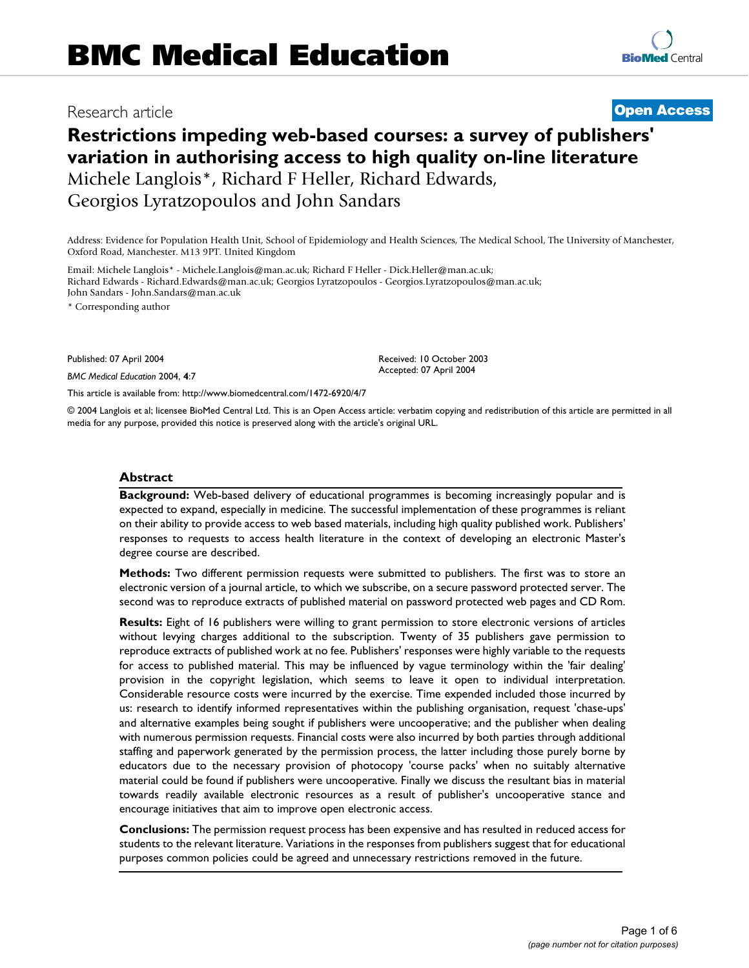# **Restrictions impeding web-based courses: a survey of publishers' variation in authorising access to high quality on-line literature** Michele Langlois\*, Richard F Heller, Richard Edwards, Georgios Lyratzopoulos and John Sandars

Address: Evidence for Population Health Unit, School of Epidemiology and Health Sciences, The Medical School, The University of Manchester, Oxford Road, Manchester. M13 9PT. United Kingdom

Email: Michele Langlois\* - Michele.Langlois@man.ac.uk; Richard F Heller - Dick.Heller@man.ac.uk; Richard Edwards - Richard.Edwards@man.ac.uk; Georgios Lyratzopoulos - Georgios.Lyratzopoulos@man.ac.uk; John Sandars - John.Sandars@man.ac.uk

\* Corresponding author

Published: 07 April 2004

*BMC Medical Education* 2004, **4**:7

[This article is available from: http://www.biomedcentral.com/1472-6920/4/7](http://www.biomedcentral.com/1472-6920/4/7)

© 2004 Langlois et al; licensee BioMed Central Ltd. This is an Open Access article: verbatim copying and redistribution of this article are permitted in all media for any purpose, provided this notice is preserved along with the article's original URL.

#### **Abstract**

**Background:** Web-based delivery of educational programmes is becoming increasingly popular and is expected to expand, especially in medicine. The successful implementation of these programmes is reliant on their ability to provide access to web based materials, including high quality published work. Publishers' responses to requests to access health literature in the context of developing an electronic Master's degree course are described.

**Methods:** Two different permission requests were submitted to publishers. The first was to store an electronic version of a journal article, to which we subscribe, on a secure password protected server. The second was to reproduce extracts of published material on password protected web pages and CD Rom.

**Results:** Eight of 16 publishers were willing to grant permission to store electronic versions of articles without levying charges additional to the subscription. Twenty of 35 publishers gave permission to reproduce extracts of published work at no fee. Publishers' responses were highly variable to the requests for access to published material. This may be influenced by vague terminology within the 'fair dealing' provision in the copyright legislation, which seems to leave it open to individual interpretation. Considerable resource costs were incurred by the exercise. Time expended included those incurred by us: research to identify informed representatives within the publishing organisation, request 'chase-ups' and alternative examples being sought if publishers were uncooperative; and the publisher when dealing with numerous permission requests. Financial costs were also incurred by both parties through additional staffing and paperwork generated by the permission process, the latter including those purely borne by educators due to the necessary provision of photocopy 'course packs' when no suitably alternative material could be found if publishers were uncooperative. Finally we discuss the resultant bias in material towards readily available electronic resources as a result of publisher's uncooperative stance and encourage initiatives that aim to improve open electronic access.

**Conclusions:** The permission request process has been expensive and has resulted in reduced access for students to the relevant literature. Variations in the responses from publishers suggest that for educational purposes common policies could be agreed and unnecessary restrictions removed in the future.

# Research article **[Open Access](http://www.biomedcentral.com/info/about/charter/)**

Received: 10 October 2003 Accepted: 07 April 2004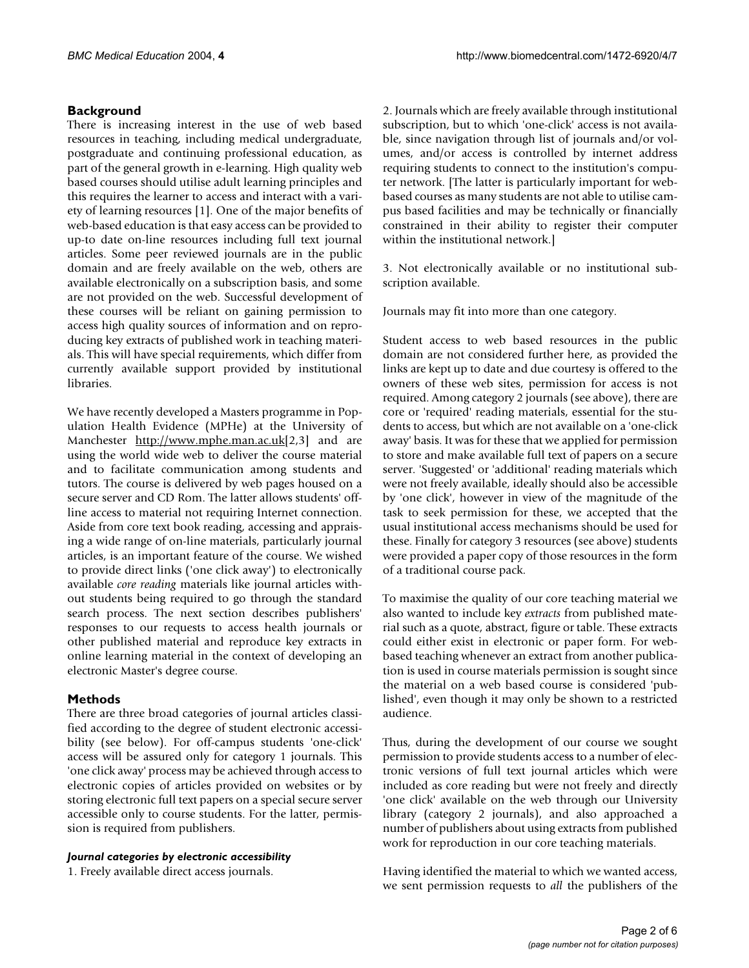# **Background**

There is increasing interest in the use of web based resources in teaching, including medical undergraduate, postgraduate and continuing professional education, as part of the general growth in e-learning. High quality web based courses should utilise adult learning principles and this requires the learner to access and interact with a variety of learning resources [1]. One of the major benefits of web-based education is that easy access can be provided to up-to date on-line resources including full text journal articles. Some peer reviewed journals are in the public domain and are freely available on the web, others are available electronically on a subscription basis, and some are not provided on the web. Successful development of these courses will be reliant on gaining permission to access high quality sources of information and on reproducing key extracts of published work in teaching materials. This will have special requirements, which differ from currently available support provided by institutional libraries.

We have recently developed a Masters programme in Population Health Evidence (MPHe) at the University of Manchester [http://www.mphe.man.ac.uk\[](http://www.mphe.man.ac.uk)2,3] and are using the world wide web to deliver the course material and to facilitate communication among students and tutors. The course is delivered by web pages housed on a secure server and CD Rom. The latter allows students' offline access to material not requiring Internet connection. Aside from core text book reading, accessing and appraising a wide range of on-line materials, particularly journal articles, is an important feature of the course. We wished to provide direct links ('one click away') to electronically available *core reading* materials like journal articles without students being required to go through the standard search process. The next section describes publishers' responses to our requests to access health journals or other published material and reproduce key extracts in online learning material in the context of developing an electronic Master's degree course.

# **Methods**

There are three broad categories of journal articles classified according to the degree of student electronic accessibility (see below). For off-campus students 'one-click' access will be assured only for category 1 journals. This 'one click away' process may be achieved through access to electronic copies of articles provided on websites or by storing electronic full text papers on a special secure server accessible only to course students. For the latter, permission is required from publishers.

# *Journal categories by electronic accessibility*

1. Freely available direct access journals.

2. Journals which are freely available through institutional subscription, but to which 'one-click' access is not available, since navigation through list of journals and/or volumes, and/or access is controlled by internet address requiring students to connect to the institution's computer network. [The latter is particularly important for webbased courses as many students are not able to utilise campus based facilities and may be technically or financially constrained in their ability to register their computer within the institutional network.]

3. Not electronically available or no institutional subscription available.

Journals may fit into more than one category.

Student access to web based resources in the public domain are not considered further here, as provided the links are kept up to date and due courtesy is offered to the owners of these web sites, permission for access is not required. Among category 2 journals (see above), there are core or 'required' reading materials, essential for the students to access, but which are not available on a 'one-click away' basis. It was for these that we applied for permission to store and make available full text of papers on a secure server. 'Suggested' or 'additional' reading materials which were not freely available, ideally should also be accessible by 'one click', however in view of the magnitude of the task to seek permission for these, we accepted that the usual institutional access mechanisms should be used for these. Finally for category 3 resources (see above) students were provided a paper copy of those resources in the form of a traditional course pack.

To maximise the quality of our core teaching material we also wanted to include key *extracts* from published material such as a quote, abstract, figure or table. These extracts could either exist in electronic or paper form. For webbased teaching whenever an extract from another publication is used in course materials permission is sought since the material on a web based course is considered 'published', even though it may only be shown to a restricted audience.

Thus, during the development of our course we sought permission to provide students access to a number of electronic versions of full text journal articles which were included as core reading but were not freely and directly 'one click' available on the web through our University library (category 2 journals), and also approached a number of publishers about using extracts from published work for reproduction in our core teaching materials.

Having identified the material to which we wanted access, we sent permission requests to *all* the publishers of the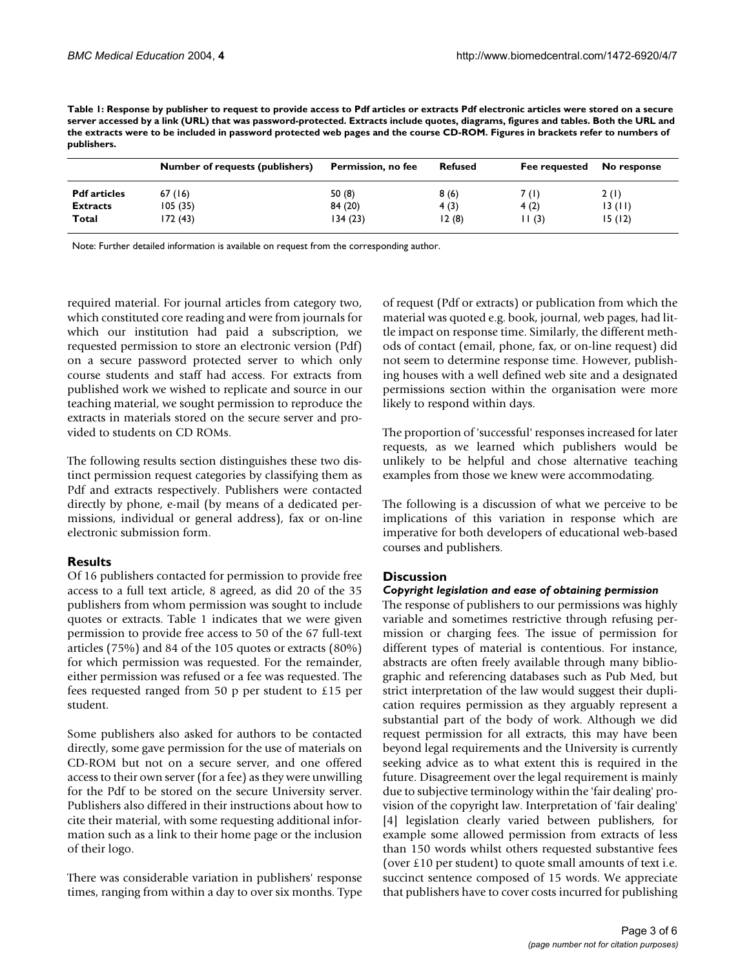<span id="page-2-0"></span>**Table 1: Response by publisher to request to provide access to Pdf articles or extracts Pdf electronic articles were stored on a secure server accessed by a link (URL) that was password-protected. Extracts include quotes, diagrams, figures and tables. Both the URL and the extracts were to be included in password protected web pages and the course CD-ROM. Figures in brackets refer to numbers of publishers.**

|                     | <b>Number of requests (publishers)</b> | Permission, no fee | <b>Refused</b> | Fee requested | No response |
|---------------------|----------------------------------------|--------------------|----------------|---------------|-------------|
| <b>Pdf articles</b> | 67(16)                                 | 50 (8)             | 8(6)           | 7 (I)         | 2(1)        |
| <b>Extracts</b>     | 105(35)                                | 84 (20)            | 4(3)           | 4(2)          | 13(11)      |
| Total               | 172 (43)                               | 134 (23)           | 12(8)          | II (3)        | 15(12)      |

Note: Further detailed information is available on request from the corresponding author.

required material. For journal articles from category two, which constituted core reading and were from journals for which our institution had paid a subscription, we requested permission to store an electronic version (Pdf) on a secure password protected server to which only course students and staff had access. For extracts from published work we wished to replicate and source in our teaching material, we sought permission to reproduce the extracts in materials stored on the secure server and provided to students on CD ROMs.

The following results section distinguishes these two distinct permission request categories by classifying them as Pdf and extracts respectively. Publishers were contacted directly by phone, e-mail (by means of a dedicated permissions, individual or general address), fax or on-line electronic submission form.

# **Results**

Of 16 publishers contacted for permission to provide free access to a full text article, 8 agreed, as did 20 of the 35 publishers from whom permission was sought to include quotes or extracts. Table [1](#page-2-0) indicates that we were given permission to provide free access to 50 of the 67 full-text articles (75%) and 84 of the 105 quotes or extracts (80%) for which permission was requested. For the remainder, either permission was refused or a fee was requested. The fees requested ranged from 50 p per student to £15 per student.

Some publishers also asked for authors to be contacted directly, some gave permission for the use of materials on CD-ROM but not on a secure server, and one offered access to their own server (for a fee) as they were unwilling for the Pdf to be stored on the secure University server. Publishers also differed in their instructions about how to cite their material, with some requesting additional information such as a link to their home page or the inclusion of their logo.

There was considerable variation in publishers' response times, ranging from within a day to over six months. Type of request (Pdf or extracts) or publication from which the material was quoted e.g. book, journal, web pages, had little impact on response time. Similarly, the different methods of contact (email, phone, fax, or on-line request) did not seem to determine response time. However, publishing houses with a well defined web site and a designated permissions section within the organisation were more likely to respond within days.

The proportion of 'successful' responses increased for later requests, as we learned which publishers would be unlikely to be helpful and chose alternative teaching examples from those we knew were accommodating.

The following is a discussion of what we perceive to be implications of this variation in response which are imperative for both developers of educational web-based courses and publishers.

# **Discussion**

# *Copyright legislation and ease of obtaining permission*

The response of publishers to our permissions was highly variable and sometimes restrictive through refusing permission or charging fees. The issue of permission for different types of material is contentious. For instance, abstracts are often freely available through many bibliographic and referencing databases such as Pub Med, but strict interpretation of the law would suggest their duplication requires permission as they arguably represent a substantial part of the body of work. Although we did request permission for all extracts, this may have been beyond legal requirements and the University is currently seeking advice as to what extent this is required in the future. Disagreement over the legal requirement is mainly due to subjective terminology within the 'fair dealing' provision of the copyright law. Interpretation of 'fair dealing' [4] legislation clearly varied between publishers, for example some allowed permission from extracts of less than 150 words whilst others requested substantive fees (over £10 per student) to quote small amounts of text i.e. succinct sentence composed of 15 words. We appreciate that publishers have to cover costs incurred for publishing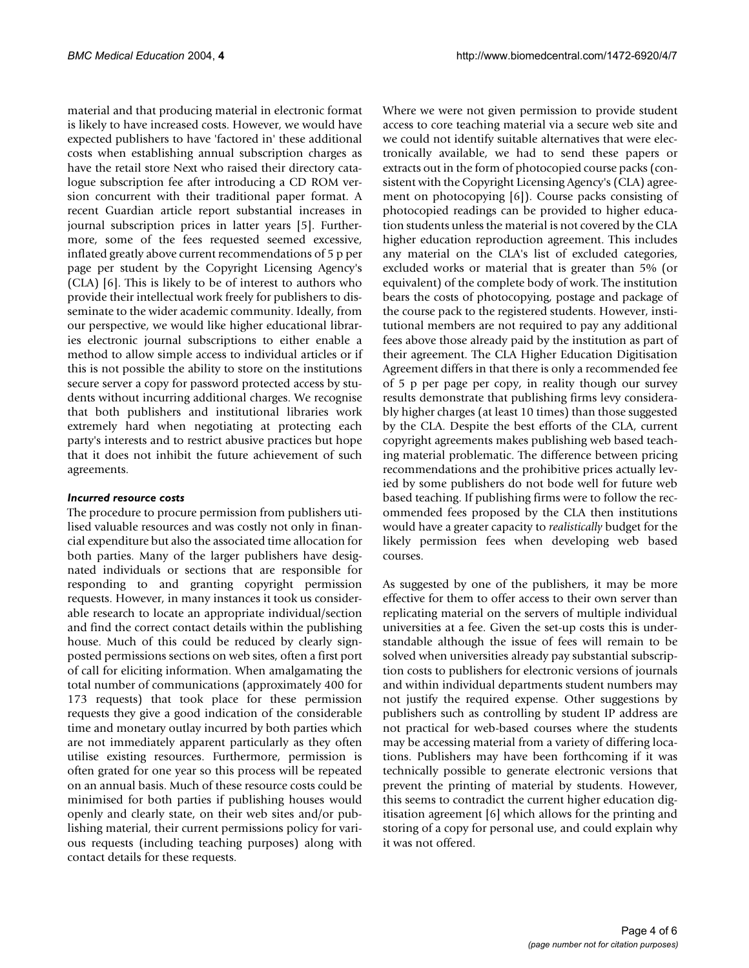material and that producing material in electronic format is likely to have increased costs. However, we would have expected publishers to have 'factored in' these additional costs when establishing annual subscription charges as have the retail store Next who raised their directory catalogue subscription fee after introducing a CD ROM version concurrent with their traditional paper format. A recent Guardian article report substantial increases in journal subscription prices in latter years [5]. Furthermore, some of the fees requested seemed excessive, inflated greatly above current recommendations of 5 p per page per student by the Copyright Licensing Agency's (CLA) [6]. This is likely to be of interest to authors who provide their intellectual work freely for publishers to disseminate to the wider academic community. Ideally, from our perspective, we would like higher educational libraries electronic journal subscriptions to either enable a method to allow simple access to individual articles or if this is not possible the ability to store on the institutions secure server a copy for password protected access by students without incurring additional charges. We recognise that both publishers and institutional libraries work extremely hard when negotiating at protecting each party's interests and to restrict abusive practices but hope that it does not inhibit the future achievement of such agreements.

#### *Incurred resource costs*

The procedure to procure permission from publishers utilised valuable resources and was costly not only in financial expenditure but also the associated time allocation for both parties. Many of the larger publishers have designated individuals or sections that are responsible for responding to and granting copyright permission requests. However, in many instances it took us considerable research to locate an appropriate individual/section and find the correct contact details within the publishing house. Much of this could be reduced by clearly signposted permissions sections on web sites, often a first port of call for eliciting information. When amalgamating the total number of communications (approximately 400 for 173 requests) that took place for these permission requests they give a good indication of the considerable time and monetary outlay incurred by both parties which are not immediately apparent particularly as they often utilise existing resources. Furthermore, permission is often grated for one year so this process will be repeated on an annual basis. Much of these resource costs could be minimised for both parties if publishing houses would openly and clearly state, on their web sites and/or publishing material, their current permissions policy for various requests (including teaching purposes) along with contact details for these requests.

Where we were not given permission to provide student access to core teaching material via a secure web site and we could not identify suitable alternatives that were electronically available, we had to send these papers or extracts out in the form of photocopied course packs (consistent with the Copyright Licensing Agency's (CLA) agreement on photocopying [6]). Course packs consisting of photocopied readings can be provided to higher education students unless the material is not covered by the CLA higher education reproduction agreement. This includes any material on the CLA's list of excluded categories, excluded works or material that is greater than 5% (or equivalent) of the complete body of work. The institution bears the costs of photocopying, postage and package of the course pack to the registered students. However, institutional members are not required to pay any additional fees above those already paid by the institution as part of their agreement. The CLA Higher Education Digitisation Agreement differs in that there is only a recommended fee of 5 p per page per copy, in reality though our survey results demonstrate that publishing firms levy considerably higher charges (at least 10 times) than those suggested by the CLA. Despite the best efforts of the CLA, current copyright agreements makes publishing web based teaching material problematic. The difference between pricing recommendations and the prohibitive prices actually levied by some publishers do not bode well for future web based teaching. If publishing firms were to follow the recommended fees proposed by the CLA then institutions would have a greater capacity to *realistically* budget for the likely permission fees when developing web based courses.

As suggested by one of the publishers, it may be more effective for them to offer access to their own server than replicating material on the servers of multiple individual universities at a fee. Given the set-up costs this is understandable although the issue of fees will remain to be solved when universities already pay substantial subscription costs to publishers for electronic versions of journals and within individual departments student numbers may not justify the required expense. Other suggestions by publishers such as controlling by student IP address are not practical for web-based courses where the students may be accessing material from a variety of differing locations. Publishers may have been forthcoming if it was technically possible to generate electronic versions that prevent the printing of material by students. However, this seems to contradict the current higher education digitisation agreement [6] which allows for the printing and storing of a copy for personal use, and could explain why it was not offered.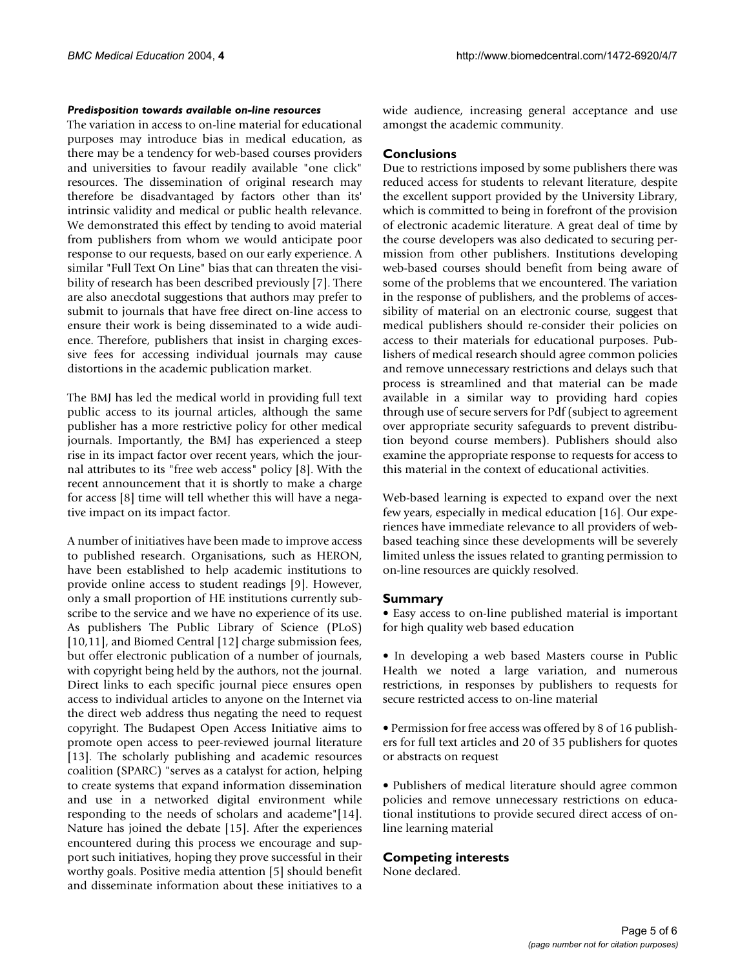#### *Predisposition towards available on-line resources*

The variation in access to on-line material for educational purposes may introduce bias in medical education, as there may be a tendency for web-based courses providers and universities to favour readily available "one click" resources. The dissemination of original research may therefore be disadvantaged by factors other than its' intrinsic validity and medical or public health relevance. We demonstrated this effect by tending to avoid material from publishers from whom we would anticipate poor response to our requests, based on our early experience. A similar "Full Text On Line" bias that can threaten the visibility of research has been described previously [7]. There are also anecdotal suggestions that authors may prefer to submit to journals that have free direct on-line access to ensure their work is being disseminated to a wide audience. Therefore, publishers that insist in charging excessive fees for accessing individual journals may cause distortions in the academic publication market.

The BMJ has led the medical world in providing full text public access to its journal articles, although the same publisher has a more restrictive policy for other medical journals. Importantly, the BMJ has experienced a steep rise in its impact factor over recent years, which the journal attributes to its "free web access" policy [8]. With the recent announcement that it is shortly to make a charge for access [8] time will tell whether this will have a negative impact on its impact factor.

A number of initiatives have been made to improve access to published research. Organisations, such as HERON, have been established to help academic institutions to provide online access to student readings [9]. However, only a small proportion of HE institutions currently subscribe to the service and we have no experience of its use. As publishers The Public Library of Science (PLoS) [10,11], and Biomed Central [12] charge submission fees, but offer electronic publication of a number of journals, with copyright being held by the authors, not the journal. Direct links to each specific journal piece ensures open access to individual articles to anyone on the Internet via the direct web address thus negating the need to request copyright. The Budapest Open Access Initiative aims to promote open access to peer-reviewed journal literature [13]. The scholarly publishing and academic resources coalition (SPARC) "serves as a catalyst for action, helping to create systems that expand information dissemination and use in a networked digital environment while responding to the needs of scholars and academe"[14]. Nature has joined the debate [15]. After the experiences encountered during this process we encourage and support such initiatives, hoping they prove successful in their worthy goals. Positive media attention [5] should benefit and disseminate information about these initiatives to a

wide audience, increasing general acceptance and use amongst the academic community.

# **Conclusions**

Due to restrictions imposed by some publishers there was reduced access for students to relevant literature, despite the excellent support provided by the University Library, which is committed to being in forefront of the provision of electronic academic literature. A great deal of time by the course developers was also dedicated to securing permission from other publishers. Institutions developing web-based courses should benefit from being aware of some of the problems that we encountered. The variation in the response of publishers, and the problems of accessibility of material on an electronic course, suggest that medical publishers should re-consider their policies on access to their materials for educational purposes. Publishers of medical research should agree common policies and remove unnecessary restrictions and delays such that process is streamlined and that material can be made available in a similar way to providing hard copies through use of secure servers for Pdf (subject to agreement over appropriate security safeguards to prevent distribution beyond course members). Publishers should also examine the appropriate response to requests for access to this material in the context of educational activities.

Web-based learning is expected to expand over the next few years, especially in medical education [16]. Our experiences have immediate relevance to all providers of webbased teaching since these developments will be severely limited unless the issues related to granting permission to on-line resources are quickly resolved.

# **Summary**

• Easy access to on-line published material is important for high quality web based education

• In developing a web based Masters course in Public Health we noted a large variation, and numerous restrictions, in responses by publishers to requests for secure restricted access to on-line material

• Permission for free access was offered by 8 of 16 publishers for full text articles and 20 of 35 publishers for quotes or abstracts on request

• Publishers of medical literature should agree common policies and remove unnecessary restrictions on educational institutions to provide secured direct access of online learning material

# **Competing interests**

None declared.